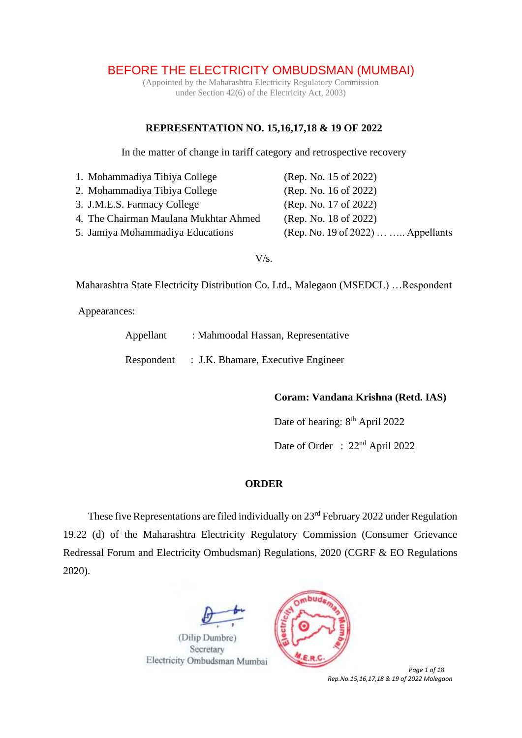# BEFORE THE ELECTRICITY OMBUDSMAN (MUMBAI)

(Appointed by the Maharashtra Electricity Regulatory Commission under Section 42(6) of the Electricity Act, 2003)

### **REPRESENTATION NO. 15,16,17,18 & 19 OF 2022**

In the matter of change in tariff category and retrospective recovery

| 1. Mohammadiya Tibiya College         | (Rep. No. 15 of 2022)              |
|---------------------------------------|------------------------------------|
| 2. Mohammadiya Tibiya College         | (Rep. No. 16 of 2022)              |
| 3. J.M.E.S. Farmacy College           | (Rep. No. 17 of 2022)              |
| 4. The Chairman Maulana Mukhtar Ahmed | (Rep. No. 18 of 2022)              |
| 5. Jamiya Mohammadiya Educations      | (Rep. No. 19 of 2022)   Appellants |

#### $V/s$ .

Maharashtra State Electricity Distribution Co. Ltd., Malegaon (MSEDCL) …Respondent

Appearances:

| Appellant  | : Mahmoodal Hassan, Representative |
|------------|------------------------------------|
| Respondent | : J.K. Bhamare, Executive Engineer |

### **Coram: Vandana Krishna (Retd. IAS)**

Date of hearing: 8<sup>th</sup> April 2022

Date of Order : 22<sup>nd</sup> April 2022

#### **ORDER**

These five Representations are filed individually on 23<sup>rd</sup> February 2022 under Regulation 19.22 (d) of the Maharashtra Electricity Regulatory Commission (Consumer Grievance Redressal Forum and Electricity Ombudsman) Regulations, 2020 (CGRF & EO Regulations 2020).





 *Page 1 of 18 Rep.No.15,16,17,18 & 19 of 2022 Malegaon*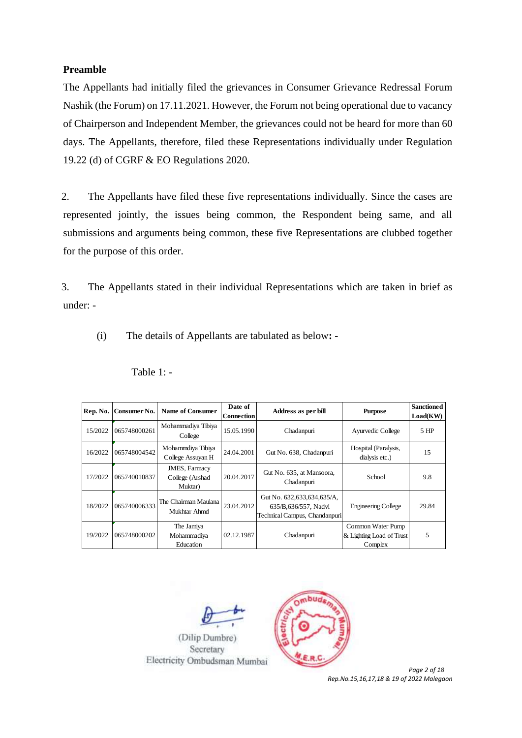#### **Preamble**

The Appellants had initially filed the grievances in Consumer Grievance Redressal Forum Nashik (the Forum) on 17.11.2021. However, the Forum not being operational due to vacancy of Chairperson and Independent Member, the grievances could not be heard for more than 60 days. The Appellants, therefore, filed these Representations individually under Regulation 19.22 (d) of CGRF & EO Regulations 2020.

2. The Appellants have filed these five representations individually. Since the cases are represented jointly, the issues being common, the Respondent being same, and all submissions and arguments being common, these five Representations are clubbed together for the purpose of this order.

3. The Appellants stated in their individual Representations which are taken in brief as under: -

(i) The details of Appellants are tabulated as below**: -**

| Rep. No. | Consumer No. | <b>Name of Consumer</b>                             | Date of<br><b>Connection</b> | Address as per bill                                                                 | <b>Purpose</b>                                           | <b>Sanctioned</b><br>Load(KW) |
|----------|--------------|-----------------------------------------------------|------------------------------|-------------------------------------------------------------------------------------|----------------------------------------------------------|-------------------------------|
| 15/2022  | 065748000261 | Mohammadiya Tibiya<br>College                       | 15.05.1990                   | Chadanpuri                                                                          | Ayurvedic College                                        | 5 HP                          |
| 16/2022  | 065748004542 | Mohammdiya Tibiya<br>College Assuyan H              | 24.04.2001                   | Gut No. 638, Chadanpuri                                                             | Hospital (Paralysis,<br>dialysis etc.)                   | 15                            |
| 17/2022  | 065740010837 | <b>JMES</b> , Farmacy<br>College (Arshad<br>Muktar) | 20.04.2017                   | Gut No. 635, at Mansoora,<br>Chadanpuri                                             | School                                                   | 9.8                           |
| 18/2022  | 065740006333 | The Chairman Maulana<br>Mukhtar Ahmd                | 23.04.2012                   | Gut No. 632,633,634,635/A,<br>635/B.636/557, Nadvi<br>Technical Campus, Chandanpuri | <b>Engineering College</b>                               | 29.84                         |
| 19/2022  | 065748000202 | The Jamiya<br>Mohammadiya<br>Education              | 02.12.1987                   | Chadanpuri                                                                          | Common Water Pump<br>& Lighting Load of Trust<br>Complex | 5                             |

Table 1: -





 *Page 2 of 18 Rep.No.15,16,17,18 & 19 of 2022 Malegaon*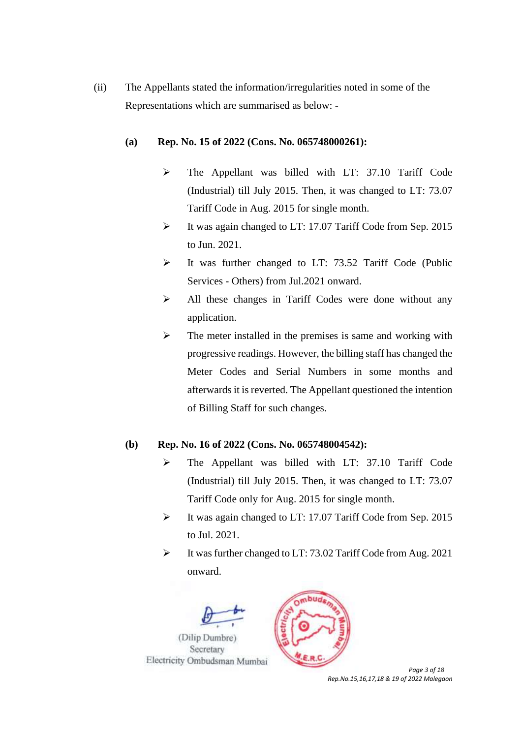(ii) The Appellants stated the information/irregularities noted in some of the Representations which are summarised as below: -

#### **(a) Rep. No. 15 of 2022 (Cons. No. 065748000261):**

- ➢ The Appellant was billed with LT: 37.10 Tariff Code (Industrial) till July 2015. Then, it was changed to LT: 73.07 Tariff Code in Aug. 2015 for single month.
- ➢ It was again changed to LT: 17.07 Tariff Code from Sep. 2015 to Jun. 2021.
- ➢ It was further changed to LT: 73.52 Tariff Code (Public Services - Others) from Jul.2021 onward.
- ➢ All these changes in Tariff Codes were done without any application.
- ➢ The meter installed in the premises is same and working with progressive readings. However, the billing staff has changed the Meter Codes and Serial Numbers in some months and afterwards it is reverted. The Appellant questioned the intention of Billing Staff for such changes.

### **(b) Rep. No. 16 of 2022 (Cons. No. 065748004542):**

- ➢ The Appellant was billed with LT: 37.10 Tariff Code (Industrial) till July 2015. Then, it was changed to LT: 73.07 Tariff Code only for Aug. 2015 for single month.
- ➢ It was again changed to LT: 17.07 Tariff Code from Sep. 2015 to Jul. 2021.
- ➢ It was further changed to LT: 73.02 Tariff Code from Aug. 2021 onward.





 *Page 3 of 18 Rep.No.15,16,17,18 & 19 of 2022 Malegaon*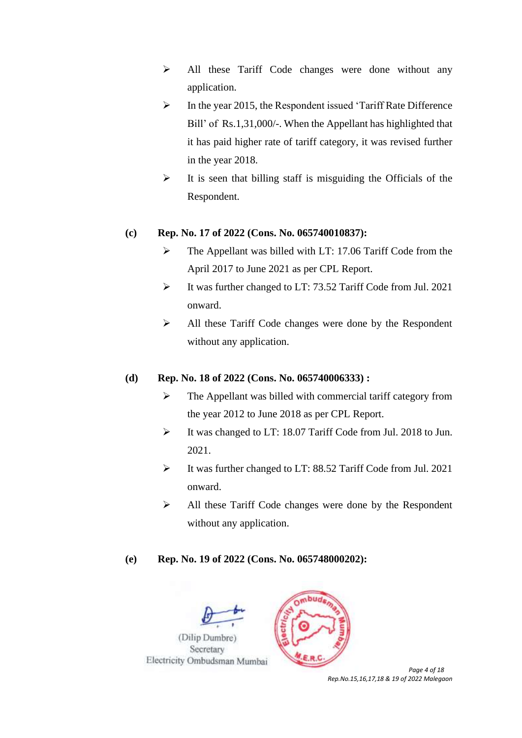- ➢ All these Tariff Code changes were done without any application.
- ➢ In the year 2015, the Respondent issued 'Tariff Rate Difference Bill' of Rs.1,31,000/-. When the Appellant has highlighted that it has paid higher rate of tariff category, it was revised further in the year 2018.
- $\triangleright$  It is seen that billing staff is misguiding the Officials of the Respondent.

## **(c) Rep. No. 17 of 2022 (Cons. No. 065740010837):**

- ➢ The Appellant was billed with LT: 17.06 Tariff Code from the April 2017 to June 2021 as per CPL Report.
- ➢ It was further changed to LT: 73.52 Tariff Code from Jul. 2021 onward.
- ➢ All these Tariff Code changes were done by the Respondent without any application.

# **(d) Rep. No. 18 of 2022 (Cons. No. 065740006333) :**

- ➢ The Appellant was billed with commercial tariff category from the year 2012 to June 2018 as per CPL Report.
- ➢ It was changed to LT: 18.07 Tariff Code from Jul. 2018 to Jun. 2021.
- ➢ It was further changed to LT: 88.52 Tariff Code from Jul. 2021 onward.
- ➢ All these Tariff Code changes were done by the Respondent without any application.

mbud

### **(e) Rep. No. 19 of 2022 (Cons. No. 065748000202):**





*Rep.No.15,16,17,18 & 19 of 2022 Malegaon*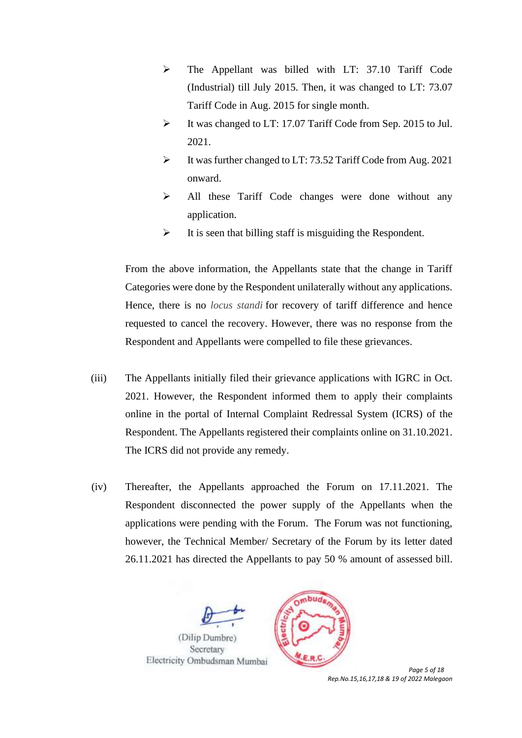- ➢ The Appellant was billed with LT: 37.10 Tariff Code (Industrial) till July 2015. Then, it was changed to LT: 73.07 Tariff Code in Aug. 2015 for single month.
- ➢ It was changed to LT: 17.07 Tariff Code from Sep. 2015 to Jul. 2021.
- ➢ It was further changed to LT: 73.52 Tariff Code from Aug. 2021 onward.
- ➢ All these Tariff Code changes were done without any application.
- $\triangleright$  It is seen that billing staff is misguiding the Respondent.

From the above information, the Appellants state that the change in Tariff Categories were done by the Respondent unilaterally without any applications. Hence, there is no *locus standi* for recovery of tariff difference and hence requested to cancel the recovery. However, there was no response from the Respondent and Appellants were compelled to file these grievances.

- (iii) The Appellants initially filed their grievance applications with IGRC in Oct. 2021. However, the Respondent informed them to apply their complaints online in the portal of Internal Complaint Redressal System (ICRS) of the Respondent. The Appellants registered their complaints online on 31.10.2021. The ICRS did not provide any remedy.
- (iv) Thereafter, the Appellants approached the Forum on 17.11.2021. The Respondent disconnected the power supply of the Appellants when the applications were pending with the Forum. The Forum was not functioning, however, the Technical Member/ Secretary of the Forum by its letter dated 26.11.2021 has directed the Appellants to pay 50 % amount of assessed bill.





 *Page 5 of 18 Rep.No.15,16,17,18 & 19 of 2022 Malegaon*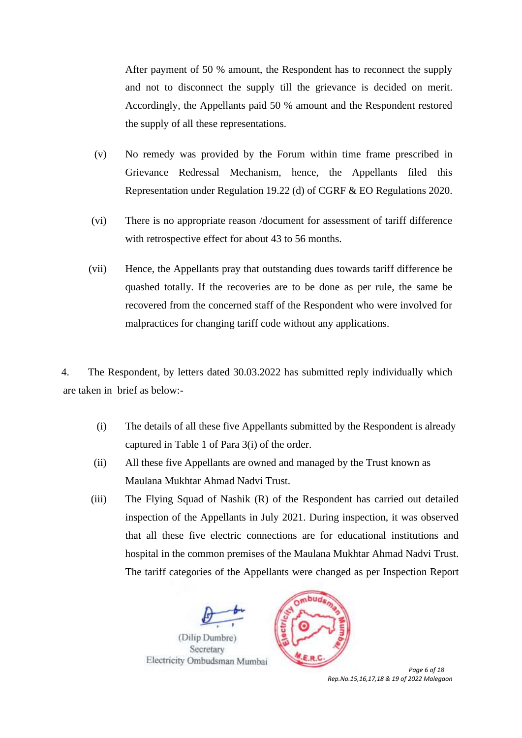After payment of 50 % amount, the Respondent has to reconnect the supply and not to disconnect the supply till the grievance is decided on merit. Accordingly, the Appellants paid 50 % amount and the Respondent restored the supply of all these representations.

- (v) No remedy was provided by the Forum within time frame prescribed in Grievance Redressal Mechanism, hence, the Appellants filed this Representation under Regulation 19.22 (d) of CGRF & EO Regulations 2020.
- (vi) There is no appropriate reason /document for assessment of tariff difference with retrospective effect for about 43 to 56 months.
- (vii) Hence, the Appellants pray that outstanding dues towards tariff difference be quashed totally. If the recoveries are to be done as per rule, the same be recovered from the concerned staff of the Respondent who were involved for malpractices for changing tariff code without any applications.

4. The Respondent, by letters dated 30.03.2022 has submitted reply individually which are taken in brief as below:-

- (i) The details of all these five Appellants submitted by the Respondent is already captured in Table 1 of Para 3(i) of the order.
- (ii) All these five Appellants are owned and managed by the Trust known as Maulana Mukhtar Ahmad Nadvi Trust.
- (iii) The Flying Squad of Nashik (R) of the Respondent has carried out detailed inspection of the Appellants in July 2021. During inspection, it was observed that all these five electric connections are for educational institutions and hospital in the common premises of the Maulana Mukhtar Ahmad Nadvi Trust. The tariff categories of the Appellants were changed as per Inspection Report





 *Page 6 of 18 Rep.No.15,16,17,18 & 19 of 2022 Malegaon*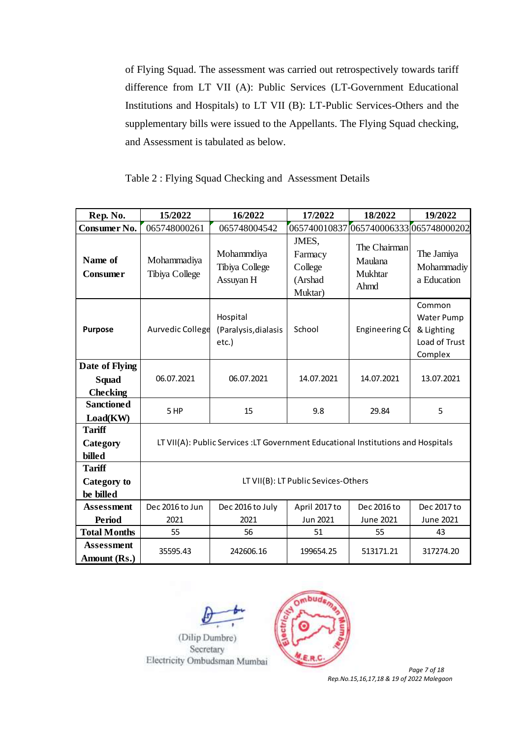of Flying Squad. The assessment was carried out retrospectively towards tariff difference from LT VII (A): Public Services (LT-Government Educational Institutions and Hospitals) to LT VII (B): LT-Public Services-Others and the supplementary bills were issued to the Appellants. The Flying Squad checking, and Assessment is tabulated as below.

Table 2 : Flying Squad Checking and Assessment Details

| Rep. No.                                   | 15/2022                                                                           | 16/2022                                   | 17/2022                                           | 18/2022                                    | 19/2022                                                               |  |
|--------------------------------------------|-----------------------------------------------------------------------------------|-------------------------------------------|---------------------------------------------------|--------------------------------------------|-----------------------------------------------------------------------|--|
| Consumer No.                               | 065748000261                                                                      | 065748004542                              | 065740010837                                      | 065740006333065748000202                   |                                                                       |  |
| Name of<br>Consumer                        | Mohammadiya<br>Tibiya College                                                     | Mohammdiya<br>Tibiya College<br>Assuyan H | JMES,<br>Farmacy<br>College<br>(Arshad<br>Muktar) | The Chairman<br>Maulana<br>Mukhtar<br>Ahmd | The Jamiya<br>Mohammadiy<br>a Education                               |  |
| <b>Purpose</b>                             | Aurvedic College                                                                  | Hospital<br>(Paralysis, dialasis<br>etc.) | School                                            | Engineering Co                             | Common<br><b>Water Pump</b><br>& Lighting<br>Load of Trust<br>Complex |  |
| Date of Flying<br>Squad<br><b>Checking</b> | 06.07.2021                                                                        | 06.07.2021                                | 14.07.2021                                        | 14.07.2021                                 | 13.07.2021                                                            |  |
| <b>Sanctioned</b><br>Load(KW)              | 5 HP                                                                              | 15                                        | 9.8                                               | 29.84                                      | 5                                                                     |  |
| <b>Tariff</b><br>Category<br>billed        | LT VII(A): Public Services : LT Government Educational Institutions and Hospitals |                                           |                                                   |                                            |                                                                       |  |
| <b>Tariff</b><br>Category to<br>be billed  | LT VII(B): LT Public Sevices-Others                                               |                                           |                                                   |                                            |                                                                       |  |
| <b>Assessment</b>                          | Dec 2016 to Jun                                                                   | Dec 2016 to July                          | April 2017 to                                     | Dec 2016 to                                | Dec 2017 to                                                           |  |
| <b>Period</b>                              | 2021                                                                              | Jun 2021<br>2021                          |                                                   | June 2021                                  | June 2021                                                             |  |
| <b>Total Months</b>                        | 55                                                                                | 56                                        | 51                                                | 55                                         | 43                                                                    |  |
| <b>Assessment</b><br>Amount (Rs.)          | 35595.43<br>242606.16                                                             |                                           | 199654.25                                         | 513171.21                                  | 317274.20                                                             |  |





 *Page 7 of 18 Rep.No.15,16,17,18 & 19 of 2022 Malegaon*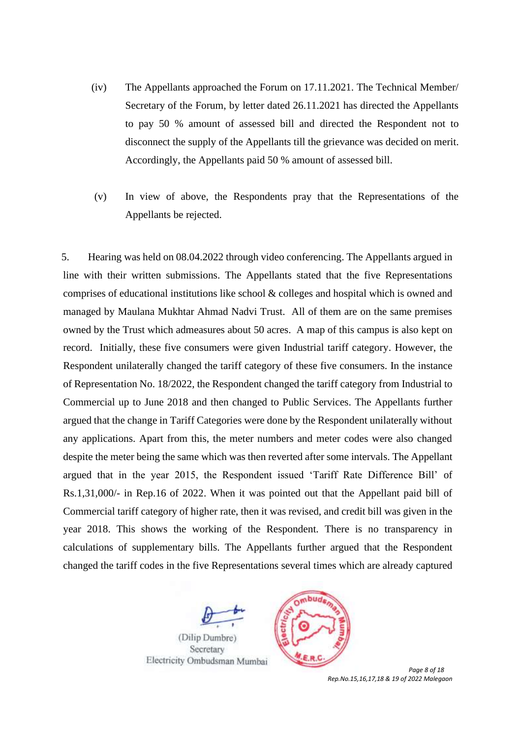- (iv) The Appellants approached the Forum on 17.11.2021. The Technical Member/ Secretary of the Forum, by letter dated 26.11.2021 has directed the Appellants to pay 50 % amount of assessed bill and directed the Respondent not to disconnect the supply of the Appellants till the grievance was decided on merit. Accordingly, the Appellants paid 50 % amount of assessed bill.
- (v) In view of above, the Respondents pray that the Representations of the Appellants be rejected.

5. Hearing was held on 08.04.2022 through video conferencing. The Appellants argued in line with their written submissions. The Appellants stated that the five Representations comprises of educational institutions like school & colleges and hospital which is owned and managed by Maulana Mukhtar Ahmad Nadvi Trust. All of them are on the same premises owned by the Trust which admeasures about 50 acres. A map of this campus is also kept on record. Initially, these five consumers were given Industrial tariff category. However, the Respondent unilaterally changed the tariff category of these five consumers. In the instance of Representation No. 18/2022, the Respondent changed the tariff category from Industrial to Commercial up to June 2018 and then changed to Public Services. The Appellants further argued that the change in Tariff Categories were done by the Respondent unilaterally without any applications. Apart from this, the meter numbers and meter codes were also changed despite the meter being the same which was then reverted after some intervals. The Appellant argued that in the year 2015, the Respondent issued 'Tariff Rate Difference Bill' of Rs.1,31,000/- in Rep.16 of 2022. When it was pointed out that the Appellant paid bill of Commercial tariff category of higher rate, then it was revised, and credit bill was given in the year 2018. This shows the working of the Respondent. There is no transparency in calculations of supplementary bills. The Appellants further argued that the Respondent changed the tariff codes in the five Representations several times which are already captured





 *Page 8 of 18 Rep.No.15,16,17,18 & 19 of 2022 Malegaon*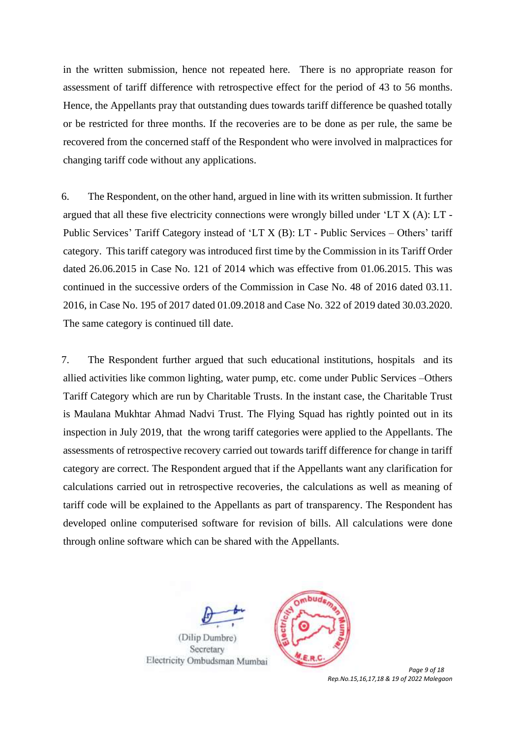in the written submission, hence not repeated here. There is no appropriate reason for assessment of tariff difference with retrospective effect for the period of 43 to 56 months. Hence, the Appellants pray that outstanding dues towards tariff difference be quashed totally or be restricted for three months. If the recoveries are to be done as per rule, the same be recovered from the concerned staff of the Respondent who were involved in malpractices for changing tariff code without any applications.

6. The Respondent, on the other hand, argued in line with its written submission. It further argued that all these five electricity connections were wrongly billed under 'LT X (A): LT - Public Services' Tariff Category instead of 'LT X (B): LT - Public Services – Others' tariff category. This tariff category was introduced first time by the Commission in its Tariff Order dated 26.06.2015 in Case No. 121 of 2014 which was effective from 01.06.2015. This was continued in the successive orders of the Commission in Case No. 48 of 2016 dated 03.11. 2016, in Case No. 195 of 2017 dated 01.09.2018 and Case No. 322 of 2019 dated 30.03.2020. The same category is continued till date.

7. The Respondent further argued that such educational institutions, hospitals and its allied activities like common lighting, water pump, etc. come under Public Services –Others Tariff Category which are run by Charitable Trusts. In the instant case, the Charitable Trust is Maulana Mukhtar Ahmad Nadvi Trust. The Flying Squad has rightly pointed out in its inspection in July 2019, that the wrong tariff categories were applied to the Appellants. The assessments of retrospective recovery carried out towards tariff difference for change in tariff category are correct. The Respondent argued that if the Appellants want any clarification for calculations carried out in retrospective recoveries, the calculations as well as meaning of tariff code will be explained to the Appellants as part of transparency. The Respondent has developed online computerised software for revision of bills. All calculations were done through online software which can be shared with the Appellants.





 *Page 9 of 18 Rep.No.15,16,17,18 & 19 of 2022 Malegaon*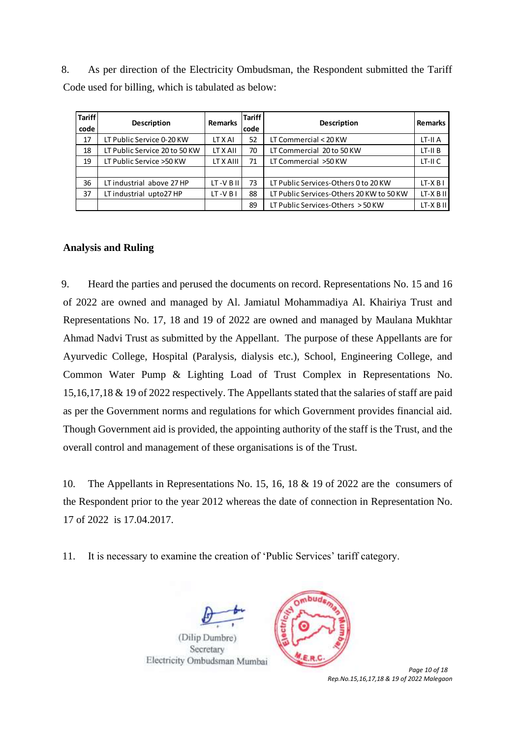8. As per direction of the Electricity Ombudsman, the Respondent submitted the Tariff Code used for billing, which is tabulated as below:

| <b>Tariff</b><br>code | <b>Description</b>            | <b>Remarks</b> | <b>Tariff</b><br>code | <b>Description</b>                       | <b>Remarks</b> |
|-----------------------|-------------------------------|----------------|-----------------------|------------------------------------------|----------------|
| 17                    | LT Public Service 0-20 KW     | LT X AI        | 52                    | LT Commercial < 20 KW                    | LT-II A        |
| 18                    | LT Public Service 20 to 50 KW | LT X AII       | 70                    | LT Commercial 20 to 50 KW                | $LT-HB$        |
| 19                    | LT Public Service >50 KW      | LT X AIII      | 71                    | LT Commercial >50 KW                     | LT-II C        |
|                       |                               |                |                       |                                          |                |
| 36                    | LT industrial above 27 HP     | LT-V B II      | 73                    | LT Public Services-Others 0 to 20 KW     | $LT-XB1$       |
| 37                    | LT industrial upto27 HP       | LT-V B I       | 88                    | LT Public Services-Others 20 KW to 50 KW | $LT-X$ B II    |
|                       |                               |                | 89                    | LT Public Services-Others > 50 KW        | $LT-X$ B II    |

#### **Analysis and Ruling**

9. Heard the parties and perused the documents on record. Representations No. 15 and 16 of 2022 are owned and managed by Al. Jamiatul Mohammadiya Al. Khairiya Trust and Representations No. 17, 18 and 19 of 2022 are owned and managed by Maulana Mukhtar Ahmad Nadvi Trust as submitted by the Appellant. The purpose of these Appellants are for Ayurvedic College, Hospital (Paralysis, dialysis etc.), School, Engineering College, and Common Water Pump & Lighting Load of Trust Complex in Representations No. 15,16,17,18 & 19 of 2022 respectively. The Appellants stated that the salaries of staff are paid as per the Government norms and regulations for which Government provides financial aid. Though Government aid is provided, the appointing authority of the staff is the Trust, and the overall control and management of these organisations is of the Trust.

10. The Appellants in Representations No. 15, 16, 18 & 19 of 2022 are the consumers of the Respondent prior to the year 2012 whereas the date of connection in Representation No. 17 of 2022 is 17.04.2017.

11. It is necessary to examine the creation of 'Public Services' tariff category.





 *Page 10 of 18 Rep.No.15,16,17,18 & 19 of 2022 Malegaon*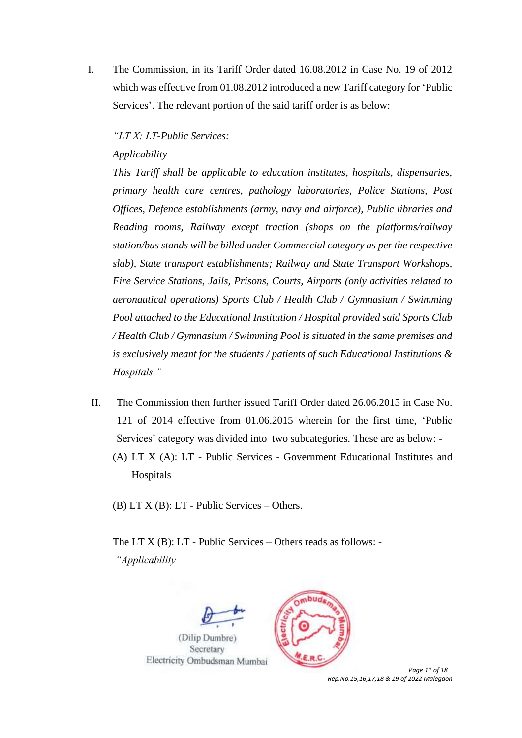I. The Commission, in its Tariff Order dated 16.08.2012 in Case No. 19 of 2012 which was effective from 01.08.2012 introduced a new Tariff category for 'Public Services'. The relevant portion of the said tariff order is as below:

#### *"LT X: LT-Public Services:*

#### *Applicability*

*This Tariff shall be applicable to education institutes, hospitals, dispensaries, primary health care centres, pathology laboratories, Police Stations, Post Offices, Defence establishments (army, navy and airforce), Public libraries and Reading rooms, Railway except traction (shops on the platforms/railway station/bus stands will be billed under Commercial category as per the respective slab), State transport establishments; Railway and State Transport Workshops, Fire Service Stations, Jails, Prisons, Courts, Airports (only activities related to aeronautical operations) Sports Club / Health Club / Gymnasium / Swimming Pool attached to the Educational Institution / Hospital provided said Sports Club / Health Club / Gymnasium / Swimming Pool is situated in the same premises and is exclusively meant for the students / patients of such Educational Institutions & Hospitals."*

- II. The Commission then further issued Tariff Order dated 26.06.2015 in Case No. 121 of 2014 effective from 01.06.2015 wherein for the first time, 'Public Services' category was divided into two subcategories. These are as below: -
	- (A) LT X (A): LT Public Services Government Educational Institutes and Hospitals

(B) LT X (B): LT - Public Services – Others.

The LT X (B): LT - Public Services – Others reads as follows: - *"Applicability* 





 *Page 11 of 18 Rep.No.15,16,17,18 & 19 of 2022 Malegaon*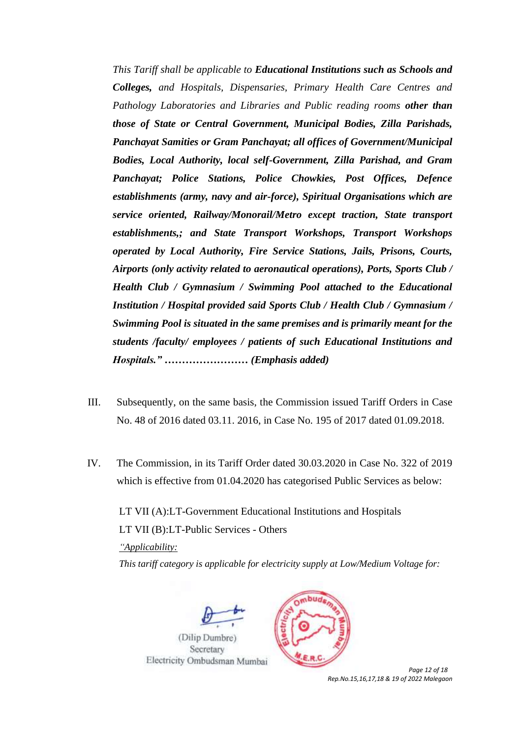*This Tariff shall be applicable to Educational Institutions such as Schools and Colleges, and Hospitals, Dispensaries, Primary Health Care Centres and Pathology Laboratories and Libraries and Public reading rooms other than those of State or Central Government, Municipal Bodies, Zilla Parishads, Panchayat Samities or Gram Panchayat; all offices of Government/Municipal Bodies, Local Authority, local self-Government, Zilla Parishad, and Gram Panchayat; Police Stations, Police Chowkies, Post Offices, Defence establishments (army, navy and air-force), Spiritual Organisations which are service oriented, Railway/Monorail/Metro except traction, State transport establishments,; and State Transport Workshops, Transport Workshops operated by Local Authority, Fire Service Stations, Jails, Prisons, Courts, Airports (only activity related to aeronautical operations), Ports, Sports Club / Health Club / Gymnasium / Swimming Pool attached to the Educational Institution / Hospital provided said Sports Club / Health Club / Gymnasium / Swimming Pool is situated in the same premises and is primarily meant for the students /faculty/ employees / patients of such Educational Institutions and Hospitals." …………………… (Emphasis added)*

- III. Subsequently, on the same basis, the Commission issued Tariff Orders in Case No. 48 of 2016 dated 03.11. 2016, in Case No. 195 of 2017 dated 01.09.2018.
- IV. The Commission, in its Tariff Order dated 30.03.2020 in Case No. 322 of 2019 which is effective from 01.04.2020 has categorised Public Services as below:

LT VII (A):LT-Government Educational Institutions and Hospitals LT VII (B):LT-Public Services - Others *"Applicability: This tariff category is applicable for electricity supply at Low/Medium Voltage for:* 





 *Page 12 of 18 Rep.No.15,16,17,18 & 19 of 2022 Malegaon*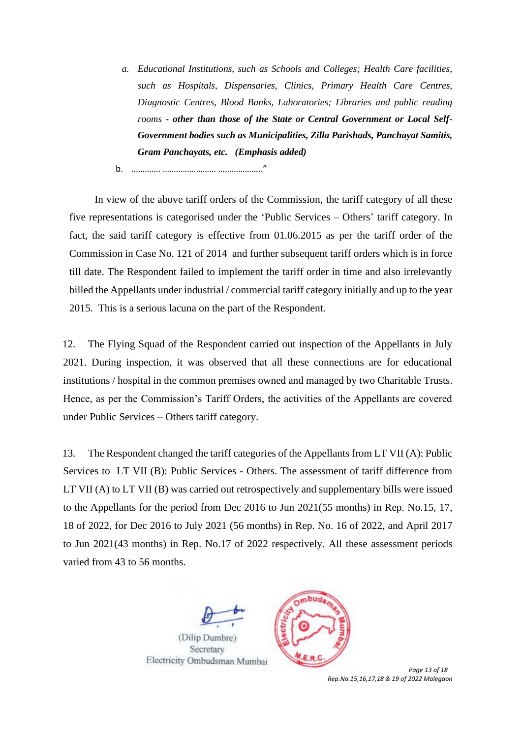- *a. Educational Institutions, such as Schools and Colleges; Health Care facilities, such as Hospitals, Dispensaries, Clinics, Primary Health Care Centres, Diagnostic Centres, Blood Banks, Laboratories; Libraries and public reading rooms - other than those of the State or Central Government or Local Self-Government bodies such as Municipalities, Zilla Parishads, Panchayat Samitis, Gram Panchayats, etc. (Emphasis added)*
- b. …………. …………………… ……………….."

In view of the above tariff orders of the Commission, the tariff category of all these five representations is categorised under the 'Public Services – Others' tariff category. In fact, the said tariff category is effective from 01.06.2015 as per the tariff order of the Commission in Case No. 121 of 2014 and further subsequent tariff orders which is in force till date. The Respondent failed to implement the tariff order in time and also irrelevantly billed the Appellants under industrial / commercial tariff category initially and up to the year 2015. This is a serious lacuna on the part of the Respondent.

12. The Flying Squad of the Respondent carried out inspection of the Appellants in July 2021. During inspection, it was observed that all these connections are for educational institutions / hospital in the common premises owned and managed by two Charitable Trusts. Hence, as per the Commission's Tariff Orders, the activities of the Appellants are covered under Public Services – Others tariff category.

13. The Respondent changed the tariff categories of the Appellants from LT VII (A): Public Services to LT VII (B): Public Services - Others. The assessment of tariff difference from LT VII (A) to LT VII (B) was carried out retrospectively and supplementary bills were issued to the Appellants for the period from Dec 2016 to Jun 2021(55 months) in Rep. No.15, 17, 18 of 2022, for Dec 2016 to July 2021 (56 months) in Rep. No. 16 of 2022, and April 2017 to Jun 2021(43 months) in Rep. No.17 of 2022 respectively. All these assessment periods varied from 43 to 56 months.





 *Page 13 of 18 Rep.No.15,16,17,18 & 19 of 2022 Malegaon*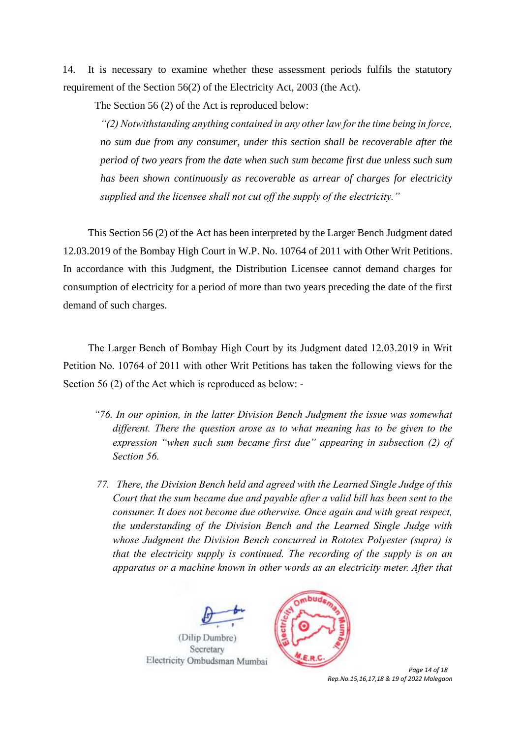14. It is necessary to examine whether these assessment periods fulfils the statutory requirement of the Section 56(2) of the Electricity Act, 2003 (the Act).

The Section 56 (2) of the Act is reproduced below:

*"(2) Notwithstanding anything contained in any other law for the time being in force, no sum due from any consumer, under this section shall be recoverable after the period of two years from the date when such sum became first due unless such sum has been shown continuously as recoverable as arrear of charges for electricity supplied and the licensee shall not cut off the supply of the electricity."*

This Section 56 (2) of the Act has been interpreted by the Larger Bench Judgment dated 12.03.2019 of the Bombay High Court in W.P. No. 10764 of 2011 with Other Writ Petitions. In accordance with this Judgment, the Distribution Licensee cannot demand charges for consumption of electricity for a period of more than two years preceding the date of the first demand of such charges.

The Larger Bench of Bombay High Court by its Judgment dated 12.03.2019 in Writ Petition No. 10764 of 2011 with other Writ Petitions has taken the following views for the Section 56 (2) of the Act which is reproduced as below: -

- *"76. In our opinion, in the latter Division Bench Judgment the issue was somewhat different. There the question arose as to what meaning has to be given to the expression "when such sum became first due" appearing in subsection (2) of Section 56.*
- *77. There, the Division Bench held and agreed with the Learned Single Judge of this Court that the sum became due and payable after a valid bill has been sent to the consumer. It does not become due otherwise. Once again and with great respect, the understanding of the Division Bench and the Learned Single Judge with whose Judgment the Division Bench concurred in Rototex Polyester (supra) is that the electricity supply is continued. The recording of the supply is on an apparatus or a machine known in other words as an electricity meter. After that*





 *Page 14 of 18 Rep.No.15,16,17,18 & 19 of 2022 Malegaon*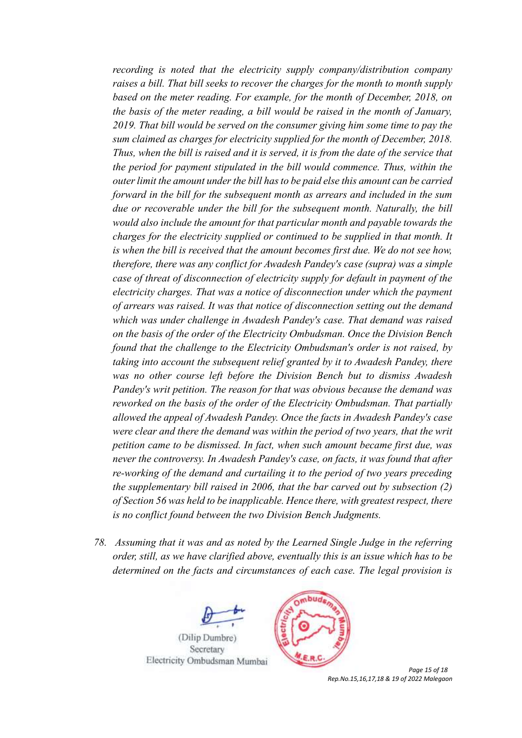*recording is noted that the electricity supply company/distribution company raises a bill. That bill seeks to recover the charges for the month to month supply based on the meter reading. For example, for the month of December, 2018, on the basis of the meter reading, a bill would be raised in the month of January, 2019. That bill would be served on the consumer giving him some time to pay the sum claimed as charges for electricity supplied for the month of December, 2018. Thus, when the bill is raised and it is served, it is from the date of the service that the period for payment stipulated in the bill would commence. Thus, within the outer limit the amount under the bill has to be paid else this amount can be carried forward in the bill for the subsequent month as arrears and included in the sum due or recoverable under the bill for the subsequent month. Naturally, the bill would also include the amount for that particular month and payable towards the charges for the electricity supplied or continued to be supplied in that month. It is when the bill is received that the amount becomes first due. We do not see how, therefore, there was any conflict for Awadesh Pandey's case (supra) was a simple case of threat of disconnection of electricity supply for default in payment of the electricity charges. That was a notice of disconnection under which the payment of arrears was raised. It was that notice of disconnection setting out the demand which was under challenge in Awadesh Pandey's case. That demand was raised on the basis of the order of the Electricity Ombudsman. Once the Division Bench found that the challenge to the Electricity Ombudsman's order is not raised, by taking into account the subsequent relief granted by it to Awadesh Pandey, there was no other course left before the Division Bench but to dismiss Awadesh Pandey's writ petition. The reason for that was obvious because the demand was reworked on the basis of the order of the Electricity Ombudsman. That partially allowed the appeal of Awadesh Pandey. Once the facts in Awadesh Pandey's case were clear and there the demand was within the period of two years, that the writ petition came to be dismissed. In fact, when such amount became first due, was never the controversy. In Awadesh Pandey's case, on facts, it was found that after re-working of the demand and curtailing it to the period of two years preceding the supplementary bill raised in 2006, that the bar carved out by subsection (2) of Section 56 was held to be inapplicable. Hence there, with greatest respect, there is no conflict found between the two Division Bench Judgments.*

*78. Assuming that it was and as noted by the Learned Single Judge in the referring order, still, as we have clarified above, eventually this is an issue which has to be determined on the facts and circumstances of each case. The legal provision is* 





 *Page 15 of 18 Rep.No.15,16,17,18 & 19 of 2022 Malegaon*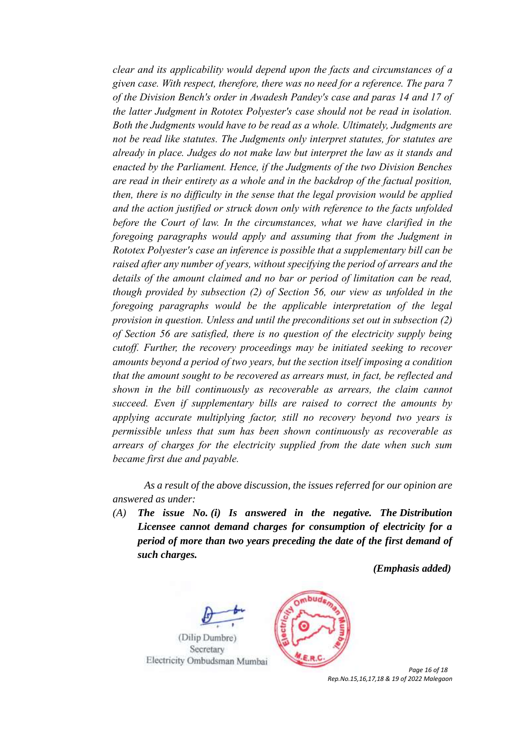*clear and its applicability would depend upon the facts and circumstances of a given case. With respect, therefore, there was no need for a reference. The para 7 of the Division Bench's order in Awadesh Pandey's case and paras 14 and 17 of the latter Judgment in Rototex Polyester's case should not be read in isolation. Both the Judgments would have to be read as a whole. Ultimately, Judgments are not be read like statutes. The Judgments only interpret statutes, for statutes are already in place. Judges do not make law but interpret the law as it stands and enacted by the Parliament. Hence, if the Judgments of the two Division Benches are read in their entirety as a whole and in the backdrop of the factual position, then, there is no difficulty in the sense that the legal provision would be applied and the action justified or struck down only with reference to the facts unfolded before the Court of law. In the circumstances, what we have clarified in the foregoing paragraphs would apply and assuming that from the Judgment in Rototex Polyester's case an inference is possible that a supplementary bill can be raised after any number of years, without specifying the period of arrears and the details of the amount claimed and no bar or period of limitation can be read, though provided by subsection (2) of Section 56, our view as unfolded in the foregoing paragraphs would be the applicable interpretation of the legal provision in question. Unless and until the preconditions set out in subsection (2) of Section 56 are satisfied, there is no question of the electricity supply being cutoff. Further, the recovery proceedings may be initiated seeking to recover amounts beyond a period of two years, but the section itself imposing a condition that the amount sought to be recovered as arrears must, in fact, be reflected and shown in the bill continuously as recoverable as arrears, the claim cannot succeed. Even if supplementary bills are raised to correct the amounts by applying accurate multiplying factor, still no recovery beyond two years is permissible unless that sum has been shown continuously as recoverable as arrears of charges for the electricity supplied from the date when such sum became first due and payable.*

*As a result of the above discussion, the issues referred for our opinion are answered as under:*

*(A) The issue No. (i) Is answered in the negative. The Distribution Licensee cannot demand charges for consumption of electricity for a period of more than two years preceding the date of the first demand of such charges.* 

 *(Emphasis added)* 





 *Page 16 of 18 Rep.No.15,16,17,18 & 19 of 2022 Malegaon*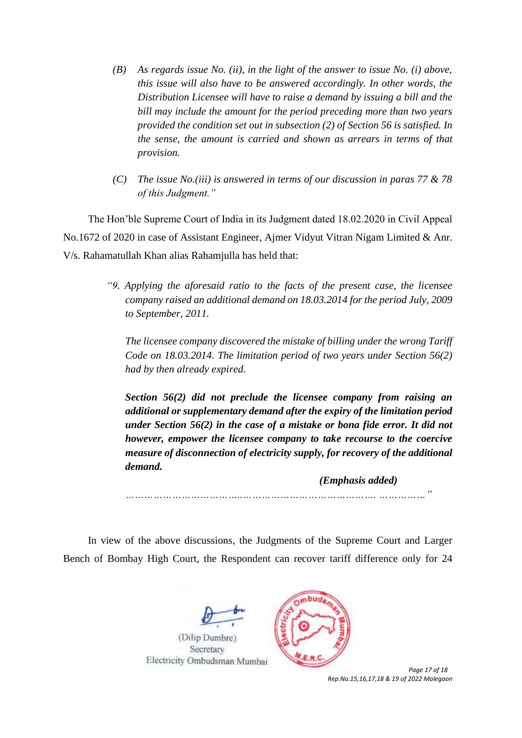- *(B) As regards issue No. (ii), in the light of the answer to issue No. (i) above, this issue will also have to be answered accordingly. In other words, the Distribution Licensee will have to raise a demand by issuing a bill and the bill may include the amount for the period preceding more than two years provided the condition set out in subsection (2) of Section 56 is satisfied. In the sense, the amount is carried and shown as arrears in terms of that provision.*
- *(C) The issue No.(iii) is answered in terms of our discussion in paras 77 & 78 of this Judgment."*

The Hon'ble Supreme Court of India in its Judgment dated 18.02.2020 in Civil Appeal No.1672 of 2020 in case of Assistant Engineer, Ajmer Vidyut Vitran Nigam Limited & Anr. V/s. Rahamatullah Khan alias Rahamjulla has held that:

> *"9. Applying the aforesaid ratio to the facts of the present case, the licensee company raised an additional demand on 18.03.2014 for the period July, 2009 to September, 2011.*

*The licensee company discovered the mistake of billing under the wrong Tariff Code on 18.03.2014. The limitation period of two years under Section 56(2) had by then already expired.* 

*Section 56(2) did not preclude the licensee company from raising an additional or supplementary demand after the expiry of the limitation period under Section 56(2) in the case of a mistake or bona fide error. It did not however, empower the licensee company to take recourse to the coercive measure of disconnection of electricity supply, for recovery of the additional demand.* 

 *(Emphasis added)*

*………………………………..……………………………………. ……………"*

In view of the above discussions, the Judgments of the Supreme Court and Larger Bench of Bombay High Court, the Respondent can recover tariff difference only for 24





 *Page 17 of 18 Rep.No.15,16,17,18 & 19 of 2022 Malegaon*